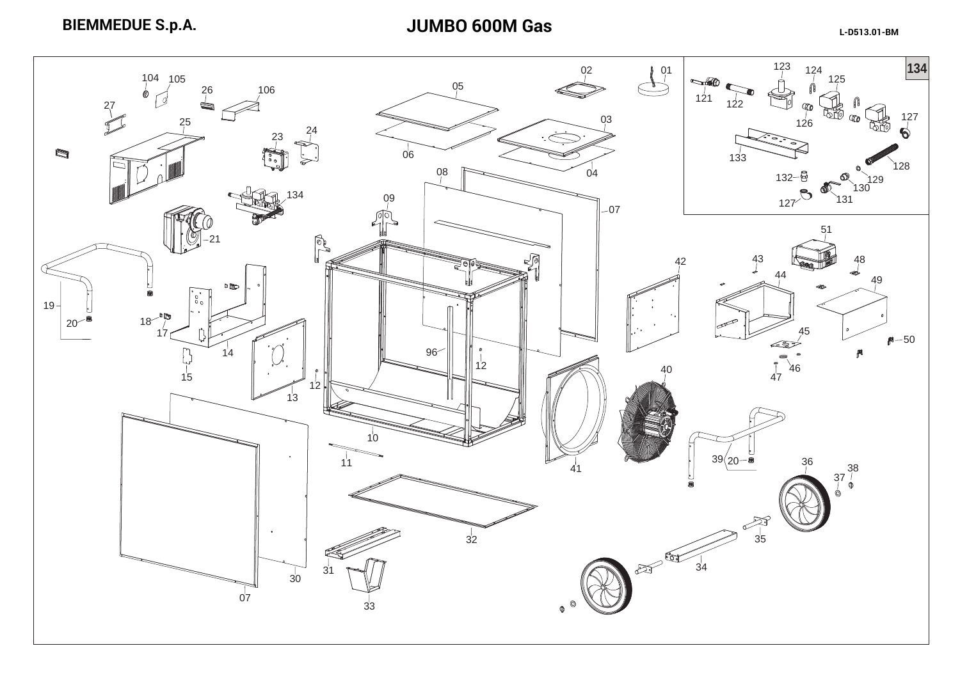**BIEMMEDUE S.p.A.**

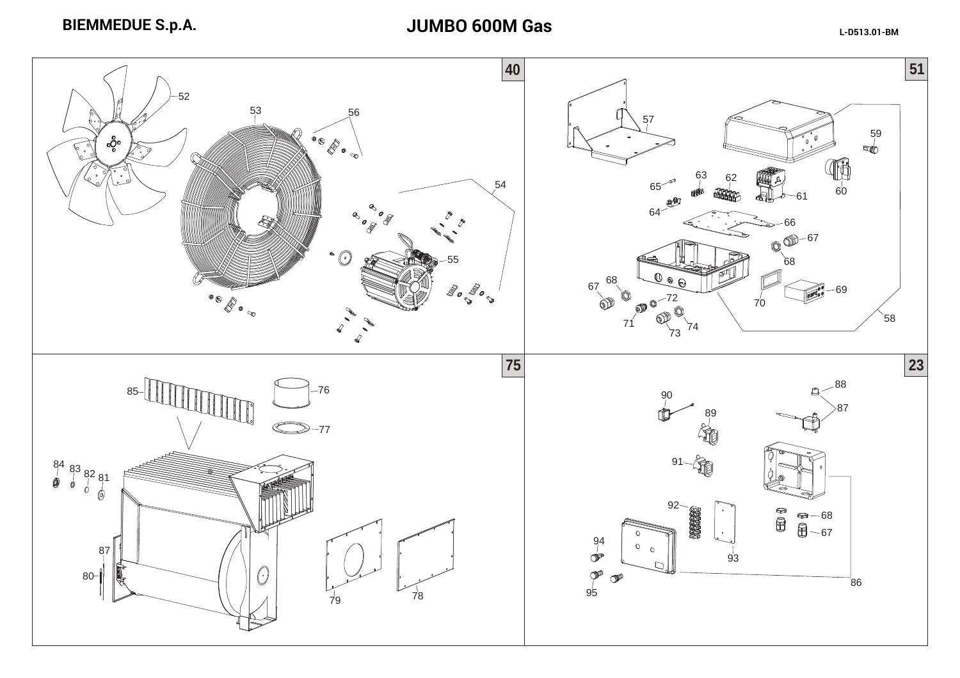**BIEMMEDUE S.p.A.**

**JUMBO 600M Gas**

**L-D513.01-BM**

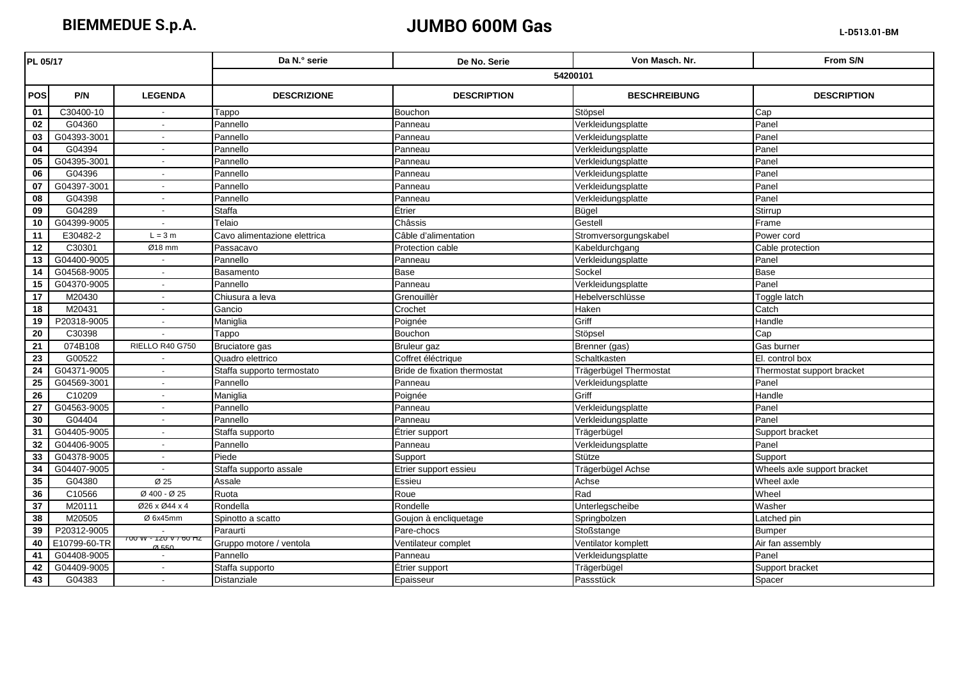**BIEMMEDUE S.p.A.**

## **JUMBO 600M Gas**

| PL 05/17        |              |                                                       | Da N.º serie                 | De No. Serie                 | Von Masch, Nr.         | From S/N                    |  |
|-----------------|--------------|-------------------------------------------------------|------------------------------|------------------------------|------------------------|-----------------------------|--|
|                 |              |                                                       | 54200101                     |                              |                        |                             |  |
| <b>POS</b>      | P/N          | <b>LEGENDA</b>                                        | <b>DESCRIZIONE</b>           | <b>DESCRIPTION</b>           | <b>BESCHREIBUNG</b>    | <b>DESCRIPTION</b>          |  |
| 01              | C30400-10    |                                                       | Tappo                        | Bouchon                      | Stöpsel                | Cap                         |  |
| 02              | G04360       |                                                       | Pannello                     | Panneau                      | Verkleidungsplatte     | Panel                       |  |
| 03              | G04393-3001  | $\sim$                                                | Pannello                     | Panneau                      | Verkleidungsplatte     | Panel                       |  |
| $\overline{04}$ | G04394       | $\sim$                                                | Pannello                     | Panneau                      | Verkleidungsplatte     | Panel                       |  |
| 05              | G04395-3001  | $\sim$                                                | Pannello                     | Panneau                      | Verkleidungsplatte     | Panel                       |  |
| 06              | G04396       |                                                       | Pannello                     | Panneau                      | Verkleidungsplatte     | Panel                       |  |
| 07              | G04397-3001  | $\sim$                                                | Pannello                     | Panneau                      | Verkleidungsplatte     | Panel                       |  |
| $\overline{08}$ | G04398       | $\sim$                                                | Pannello                     | Panneau                      | Verkleidungsplatte     | Panel                       |  |
| 09              | G04289       | $\sim$                                                | Staffa                       | Étrier                       | Bügel                  | Stirrup                     |  |
| 10              | G04399-9005  | $\sim$                                                | Telaio                       | Châssis                      | Gestell                | Frame                       |  |
| 11              | E30482-2     | $L = 3 m$                                             | Cavo alimentazione elettrica | Câble d'alimentation         | Stromversorgungskabel  | Power cord                  |  |
| 12              | C30301       | Ø18 mm                                                | Passacavo                    | Protection cable             | Kabeldurchgang         | Cable protection            |  |
| 13              | G04400-9005  |                                                       | Pannello                     | Panneau                      | Verkleidungsplatte     | Panel                       |  |
| 14              | G04568-9005  | $\sim$                                                | Basamento                    | Base                         | Sockel                 | <b>Base</b>                 |  |
| 15              | G04370-9005  | $\sim$                                                | Pannello                     | Panneau                      | Verkleidungsplatte     | Panel                       |  |
| $\overline{17}$ | M20430       | $\sim$                                                | Chiusura a leva              | Grenouillèr                  | Hebelverschlüsse       | Toggle latch                |  |
| 18              | M20431       |                                                       | Gancio                       | Crochet                      | Haken                  | Catch                       |  |
| 19              | P20318-9005  |                                                       | Maniglia                     | Poignée                      | Griff                  | Handle                      |  |
| 20              | C30398       |                                                       | Tappo                        | Bouchon                      | Stöpsel                | Cap                         |  |
| 21              | 074B108      | RIELLO R40 G750                                       | Bruciatore gas               | <b>Bruleur</b> gaz           | Brenner (gas)          | Gas burner                  |  |
| 23              | G00522       |                                                       | Quadro elettrico             | Coffret éléctrique           | Schaltkasten           | El. control box             |  |
| 24              | G04371-9005  |                                                       | Staffa supporto termostato   | Bride de fixation thermostat | Trägerbügel Thermostat | Thermostat support bracket  |  |
| 25              | G04569-3001  |                                                       | Pannello                     | Panneau                      | Verkleidungsplatte     | Panel                       |  |
| $\overline{26}$ | C10209       | $\sim$                                                | Maniglia                     | Poignée                      | Griff                  | Handle                      |  |
| $\overline{27}$ | G04563-9005  | $\sim$                                                | Pannello                     | Panneau                      | Verkleidungsplatte     | Panel                       |  |
| 30              | G04404       | $\sim$                                                | Pannello                     | Panneau                      | Verkleidungsplatte     | Panel                       |  |
| 31              | G04405-9005  | $\sim$                                                | Staffa supporto              | Etrier support               | Trägerbügel            | Support bracket             |  |
| 32              | G04406-9005  | $\sim$                                                | Pannello                     | Panneau                      | Verkleidungsplatte     | Panel                       |  |
| 33              | G04378-9005  | $\sim$                                                | Piede                        | Support                      | Stütze                 | Support                     |  |
| 34              | G04407-9005  | $\sim$                                                | Staffa supporto assale       | Etrier support essieu        | Trägerbügel Achse      | Wheels axle support bracket |  |
| 35              | G04380       | Ø 25                                                  | Assale                       | Essieu                       | Achse                  | Wheel axle                  |  |
| 36              | C10566       | Ø 400 - Ø 25                                          | Ruota                        | Roue                         | Rad                    | Wheel                       |  |
| 37              | M20111       | Ø26 x Ø44 x 4                                         | Rondella                     | Rondelle                     | Unterlegscheibe        | Washer                      |  |
| 38              | M20505       | Ø 6x45mm                                              | Spinotto a scatto            | Goujon à encliquetage        | Springbolzen           | Latched pin                 |  |
| 39              | P20312-9005  |                                                       | Paraurti                     | Pare-chocs                   | Stoßstange             | Bumper                      |  |
| 40              | E10799-60-TR | 7 0 0 1 1 2 0 1 7 0 0 1 1 2<br>$\alpha$ <sub>EE</sub> | Gruppo motore / ventola      | Ventilateur complet          | Ventilator komplett    | Air fan assembly            |  |
| 41              | G04408-9005  |                                                       | Pannello                     | Panneau                      | Verkleidungsplatte     | Panel                       |  |
| 42              | G04409-9005  | $\sim$                                                | Staffa supporto              | Étrier support               | Trägerbügel            | Support bracket             |  |
| 43              | G04383       |                                                       | <b>Distanziale</b>           | Epaisseur                    | Passstück              | Spacer                      |  |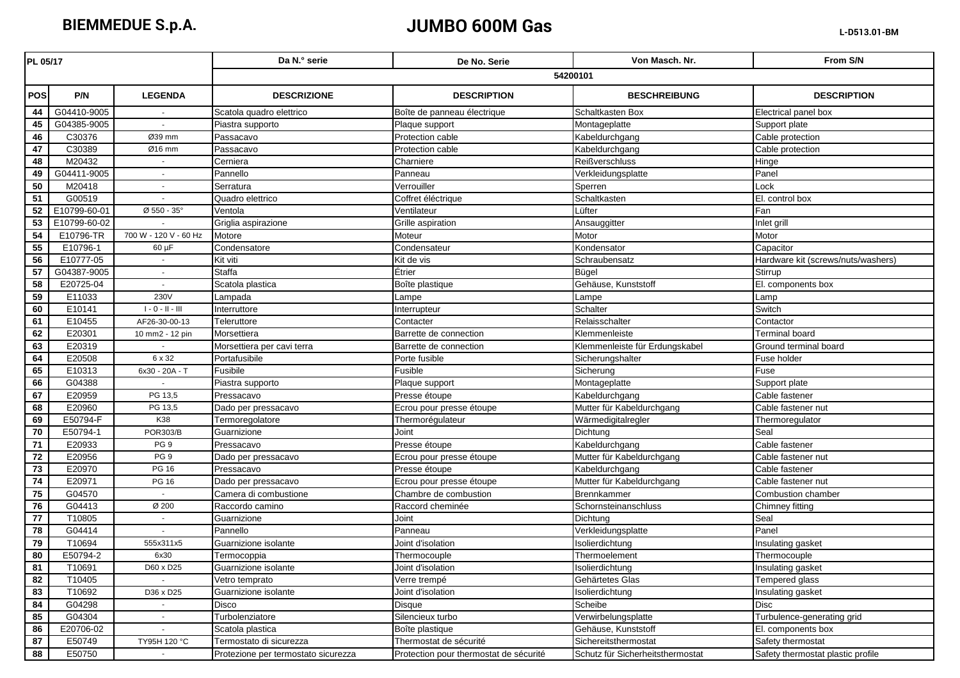## **JUMBO 600M Gas**

| 54200101<br><b>LEGENDA</b><br><b>POS</b><br>P/N<br><b>DESCRIZIONE</b><br><b>DESCRIPTION</b><br><b>BESCHREIBUNG</b><br><b>DESCRIPTION</b><br>G04410-9005<br>44<br>Scatola quadro elettrico<br>Boîte de panneau électrique<br>Schaltkasten Box<br>Electrical panel box<br>45<br>G04385-9005<br>Piastra supporto<br>Plaque support<br>Montageplatte<br>Support plate<br>$\blacksquare$<br>Protection cable<br>Cable protection<br>46<br>C30376<br>Ø39 mm<br>Kabeldurchgang<br>Passacavo<br>47<br>C30389<br>Ø16 mm<br>Cable protection<br>Passacavo<br>Protection cable<br>Kabeldurchgang<br>48<br>M20432<br>Charniere<br><b>Reißverschluss</b><br>Cerniera<br>Hinge<br>G04411-9005<br>Pannello<br>Panneau<br>Panel<br>49<br>Verkleidungsplatte<br>$\mathbf{r}$<br>50<br>M20418<br>Verrouiller<br>Lock<br>Serratura<br>Sperren<br>$\sim$<br>Schaltkasten<br>51<br>G00519<br>Coffret éléctrique<br>El. control box<br>Quadro elettrico<br>52<br>E10799-60-01<br>Ø 550 - 35°<br>Lüfter<br>Fan<br>Ventola<br>Ventilateur<br>53<br>E10799-60-02<br>Griglia aspirazione<br>Grille aspiration<br>Ansauggitter<br>Inlet grill<br>700 W - 120 V - 60 Hz<br>54<br>E10796-TR<br>Motore<br>Moteur<br>Motor<br>Motor<br>55<br>E10796-1<br>Condensateur<br>Kondensator<br>Condensatore<br>Capacitor<br>$60 \mu F$<br>E10777-05<br>Schraubensatz<br>56<br>Kit viti<br>Kit de vis<br>Hardware kit (screws/nuts/washers)<br>57<br>G04387-9005<br><b>Staffa</b><br>Étrier<br>Bügel<br>Stirrup<br>$\sim$<br>58<br>E20725-04<br>Gehäuse, Kunststoff<br>Scatola plastica<br>Boîte plastique<br>El. components box<br>$\omega$<br>230V<br>59<br>E11033<br>Lampada<br>Lampe<br>Lampe<br>Lamp<br>Schalter<br>60<br>E10141<br>$\mathsf{I}$ - $\mathsf{O}$ - $\mathsf{II}$ - $\mathsf{III}$<br>Switch<br>Interrupteur<br>Interruttore<br>E10455<br>Relaisschalter<br>Contactor<br>61<br>AF26-30-00-13<br>Teleruttore<br>Contacter<br>62<br>E20301<br>Barrette de connection<br>Terminal board<br>10 mm2 - 12 pin<br>Morsettiera<br>Klemmenleiste<br>63<br>E20319<br>Klemmenleiste für Erdungskabel<br>Morsettiera per cavi terra<br>Barrette de connection<br>Ground terminal board<br>$\mathbf{r}$<br>64<br>E20508<br>6 x 32<br>Portafusibile<br>Porte fusible<br>Sicherungshalter<br>Fuse holder<br>65<br>6x30 - 20A - T<br>Fusible<br>Sicherung<br>Fuse<br>E10313<br>Fusibile<br>Plaque support<br>66<br>G04388<br>Piastra supporto<br>Montageplatte<br>Support plate<br>67<br>E20959<br>PG 13,5<br>Presse étoupe<br>Kabeldurchgang<br>Cable fastener<br>Pressacavo<br>E20960<br>PG 13,5<br>68<br>Mutter für Kabeldurchgang<br>Cable fastener nut<br>Dado per pressacavo<br>Ecrou pour presse étoupe<br>E50794-F<br>K38<br>69<br>Thermorégulateur<br>Wärmedigitalregler<br>Termoregolatore<br>Thermoregulator<br>70<br><b>POR303/B</b><br>Dichtung<br>Seal<br>E50794-1<br>Guarnizione<br>Joint<br>Cable fastener<br>71<br>E20933<br>Presse étoupe<br>PG 9<br>Pressacavo<br>Kabeldurchgang<br>PG <sub>9</sub><br>72<br>E20956<br>Ecrou pour presse étoupe<br>Mutter für Kabeldurchgang<br>Cable fastener nut<br>Dado per pressacavo<br>73<br>E20970<br><b>PG 16</b><br>Pressacavo<br>Presse étoupe<br>Kabeldurchgang<br>Cable fastener<br>74<br>E20971<br><b>PG 16</b><br>Ecrou pour presse étoupe<br>Mutter für Kabeldurchgang<br>Cable fastener nut<br>Dado per pressacavo<br>75<br>G04570<br>Chambre de combustion<br>Camera di combustione<br>Brennkammer<br>Combustion chamber<br>$\omega$<br>76<br>G04413<br>Raccord cheminée<br>Schornsteinanschluss<br>Chimney fitting<br>Ø 200<br>Raccordo camino<br>77<br>T10805<br>Seal<br>Joint<br>Dichtung<br>Guarnizione<br>$\blacksquare$<br>78<br>G04414<br>Panel<br>Pannello<br>Panneau<br>Verkleidungsplatte<br>$\blacksquare$<br>79<br>T10694<br>555x311x5<br>Joint d'isolation<br>Isolierdichtung<br>Guarnizione isolante<br>Insulating gasket<br>80<br>E50794-2<br>6x30<br>Thermocouple<br>Thermoelement<br>Thermocouple<br>Termocoppia<br>81<br>T10691<br>D60 x D25<br>Guarnizione isolante<br>Joint d'isolation<br>Isolierdichtung<br>Insulating gasket<br>82<br>T <sub>10405</sub><br>Verre trempé<br>Gehärtetes Glas<br>Tempered glass<br>Vetro temprato<br>83<br>T10692<br>D36 x D25<br>Guarnizione isolante<br>Joint d'isolation<br>Isolierdichtung<br>Insulating gasket<br>84<br>Scheibe<br>Disc<br>G04298<br>Disco<br>Disque<br>Silencieux turbo<br>Verwirbelungsplatte<br>85<br>G04304<br>Turbolenziatore<br>Turbulence-generating grid<br>$\sim$<br>86<br>E20706-02<br>Scatola plastica<br>Boîte plastique<br>Gehäuse, Kunststoff<br>El. components box<br>87<br>TY95H 120 °C<br>Thermostat de sécurité<br>Safety thermostat<br>E50749<br>Termostato di sicurezza<br>Sichereitsthermostat<br>88<br>E50750<br>Schutz für Sicherheitsthermostat<br>Safety thermostat plastic profile<br>Protection pour thermostat de sécurité<br>$\sim$<br>Protezione per termostato sicurezza | PL 05/17 |  |  | Da N.º serie | De No. Serie | Von Masch. Nr. | From S/N |  |
|-------------------------------------------------------------------------------------------------------------------------------------------------------------------------------------------------------------------------------------------------------------------------------------------------------------------------------------------------------------------------------------------------------------------------------------------------------------------------------------------------------------------------------------------------------------------------------------------------------------------------------------------------------------------------------------------------------------------------------------------------------------------------------------------------------------------------------------------------------------------------------------------------------------------------------------------------------------------------------------------------------------------------------------------------------------------------------------------------------------------------------------------------------------------------------------------------------------------------------------------------------------------------------------------------------------------------------------------------------------------------------------------------------------------------------------------------------------------------------------------------------------------------------------------------------------------------------------------------------------------------------------------------------------------------------------------------------------------------------------------------------------------------------------------------------------------------------------------------------------------------------------------------------------------------------------------------------------------------------------------------------------------------------------------------------------------------------------------------------------------------------------------------------------------------------------------------------------------------------------------------------------------------------------------------------------------------------------------------------------------------------------------------------------------------------------------------------------------------------------------------------------------------------------------------------------------------------------------------------------------------------------------------------------------------------------------------------------------------------------------------------------------------------------------------------------------------------------------------------------------------------------------------------------------------------------------------------------------------------------------------------------------------------------------------------------------------------------------------------------------------------------------------------------------------------------------------------------------------------------------------------------------------------------------------------------------------------------------------------------------------------------------------------------------------------------------------------------------------------------------------------------------------------------------------------------------------------------------------------------------------------------------------------------------------------------------------------------------------------------------------------------------------------------------------------------------------------------------------------------------------------------------------------------------------------------------------------------------------------------------------------------------------------------------------------------------------------------------------------------------------------------------------------------------------------------------------------------------------------------------------------------------------------------------------------------------------------------------------------------------------------------------------------------------------------------------------------------------------------------------------------------------------------------------------------------------------------------------------------------------------------------------------------------------------------------------------------------------------------------------------------------------------------------------------------------------------------------------------------------------------------------------------------------------|----------|--|--|--------------|--------------|----------------|----------|--|
|                                                                                                                                                                                                                                                                                                                                                                                                                                                                                                                                                                                                                                                                                                                                                                                                                                                                                                                                                                                                                                                                                                                                                                                                                                                                                                                                                                                                                                                                                                                                                                                                                                                                                                                                                                                                                                                                                                                                                                                                                                                                                                                                                                                                                                                                                                                                                                                                                                                                                                                                                                                                                                                                                                                                                                                                                                                                                                                                                                                                                                                                                                                                                                                                                                                                                                                                                                                                                                                                                                                                                                                                                                                                                                                                                                                                                                                                                                                                                                                                                                                                                                                                                                                                                                                                                                                                                                                                                                                                                                                                                                                                                                                                                                                                                                                                                                                                                                                   |          |  |  |              |              |                |          |  |
|                                                                                                                                                                                                                                                                                                                                                                                                                                                                                                                                                                                                                                                                                                                                                                                                                                                                                                                                                                                                                                                                                                                                                                                                                                                                                                                                                                                                                                                                                                                                                                                                                                                                                                                                                                                                                                                                                                                                                                                                                                                                                                                                                                                                                                                                                                                                                                                                                                                                                                                                                                                                                                                                                                                                                                                                                                                                                                                                                                                                                                                                                                                                                                                                                                                                                                                                                                                                                                                                                                                                                                                                                                                                                                                                                                                                                                                                                                                                                                                                                                                                                                                                                                                                                                                                                                                                                                                                                                                                                                                                                                                                                                                                                                                                                                                                                                                                                                                   |          |  |  |              |              |                |          |  |
|                                                                                                                                                                                                                                                                                                                                                                                                                                                                                                                                                                                                                                                                                                                                                                                                                                                                                                                                                                                                                                                                                                                                                                                                                                                                                                                                                                                                                                                                                                                                                                                                                                                                                                                                                                                                                                                                                                                                                                                                                                                                                                                                                                                                                                                                                                                                                                                                                                                                                                                                                                                                                                                                                                                                                                                                                                                                                                                                                                                                                                                                                                                                                                                                                                                                                                                                                                                                                                                                                                                                                                                                                                                                                                                                                                                                                                                                                                                                                                                                                                                                                                                                                                                                                                                                                                                                                                                                                                                                                                                                                                                                                                                                                                                                                                                                                                                                                                                   |          |  |  |              |              |                |          |  |
|                                                                                                                                                                                                                                                                                                                                                                                                                                                                                                                                                                                                                                                                                                                                                                                                                                                                                                                                                                                                                                                                                                                                                                                                                                                                                                                                                                                                                                                                                                                                                                                                                                                                                                                                                                                                                                                                                                                                                                                                                                                                                                                                                                                                                                                                                                                                                                                                                                                                                                                                                                                                                                                                                                                                                                                                                                                                                                                                                                                                                                                                                                                                                                                                                                                                                                                                                                                                                                                                                                                                                                                                                                                                                                                                                                                                                                                                                                                                                                                                                                                                                                                                                                                                                                                                                                                                                                                                                                                                                                                                                                                                                                                                                                                                                                                                                                                                                                                   |          |  |  |              |              |                |          |  |
|                                                                                                                                                                                                                                                                                                                                                                                                                                                                                                                                                                                                                                                                                                                                                                                                                                                                                                                                                                                                                                                                                                                                                                                                                                                                                                                                                                                                                                                                                                                                                                                                                                                                                                                                                                                                                                                                                                                                                                                                                                                                                                                                                                                                                                                                                                                                                                                                                                                                                                                                                                                                                                                                                                                                                                                                                                                                                                                                                                                                                                                                                                                                                                                                                                                                                                                                                                                                                                                                                                                                                                                                                                                                                                                                                                                                                                                                                                                                                                                                                                                                                                                                                                                                                                                                                                                                                                                                                                                                                                                                                                                                                                                                                                                                                                                                                                                                                                                   |          |  |  |              |              |                |          |  |
|                                                                                                                                                                                                                                                                                                                                                                                                                                                                                                                                                                                                                                                                                                                                                                                                                                                                                                                                                                                                                                                                                                                                                                                                                                                                                                                                                                                                                                                                                                                                                                                                                                                                                                                                                                                                                                                                                                                                                                                                                                                                                                                                                                                                                                                                                                                                                                                                                                                                                                                                                                                                                                                                                                                                                                                                                                                                                                                                                                                                                                                                                                                                                                                                                                                                                                                                                                                                                                                                                                                                                                                                                                                                                                                                                                                                                                                                                                                                                                                                                                                                                                                                                                                                                                                                                                                                                                                                                                                                                                                                                                                                                                                                                                                                                                                                                                                                                                                   |          |  |  |              |              |                |          |  |
|                                                                                                                                                                                                                                                                                                                                                                                                                                                                                                                                                                                                                                                                                                                                                                                                                                                                                                                                                                                                                                                                                                                                                                                                                                                                                                                                                                                                                                                                                                                                                                                                                                                                                                                                                                                                                                                                                                                                                                                                                                                                                                                                                                                                                                                                                                                                                                                                                                                                                                                                                                                                                                                                                                                                                                                                                                                                                                                                                                                                                                                                                                                                                                                                                                                                                                                                                                                                                                                                                                                                                                                                                                                                                                                                                                                                                                                                                                                                                                                                                                                                                                                                                                                                                                                                                                                                                                                                                                                                                                                                                                                                                                                                                                                                                                                                                                                                                                                   |          |  |  |              |              |                |          |  |
|                                                                                                                                                                                                                                                                                                                                                                                                                                                                                                                                                                                                                                                                                                                                                                                                                                                                                                                                                                                                                                                                                                                                                                                                                                                                                                                                                                                                                                                                                                                                                                                                                                                                                                                                                                                                                                                                                                                                                                                                                                                                                                                                                                                                                                                                                                                                                                                                                                                                                                                                                                                                                                                                                                                                                                                                                                                                                                                                                                                                                                                                                                                                                                                                                                                                                                                                                                                                                                                                                                                                                                                                                                                                                                                                                                                                                                                                                                                                                                                                                                                                                                                                                                                                                                                                                                                                                                                                                                                                                                                                                                                                                                                                                                                                                                                                                                                                                                                   |          |  |  |              |              |                |          |  |
|                                                                                                                                                                                                                                                                                                                                                                                                                                                                                                                                                                                                                                                                                                                                                                                                                                                                                                                                                                                                                                                                                                                                                                                                                                                                                                                                                                                                                                                                                                                                                                                                                                                                                                                                                                                                                                                                                                                                                                                                                                                                                                                                                                                                                                                                                                                                                                                                                                                                                                                                                                                                                                                                                                                                                                                                                                                                                                                                                                                                                                                                                                                                                                                                                                                                                                                                                                                                                                                                                                                                                                                                                                                                                                                                                                                                                                                                                                                                                                                                                                                                                                                                                                                                                                                                                                                                                                                                                                                                                                                                                                                                                                                                                                                                                                                                                                                                                                                   |          |  |  |              |              |                |          |  |
|                                                                                                                                                                                                                                                                                                                                                                                                                                                                                                                                                                                                                                                                                                                                                                                                                                                                                                                                                                                                                                                                                                                                                                                                                                                                                                                                                                                                                                                                                                                                                                                                                                                                                                                                                                                                                                                                                                                                                                                                                                                                                                                                                                                                                                                                                                                                                                                                                                                                                                                                                                                                                                                                                                                                                                                                                                                                                                                                                                                                                                                                                                                                                                                                                                                                                                                                                                                                                                                                                                                                                                                                                                                                                                                                                                                                                                                                                                                                                                                                                                                                                                                                                                                                                                                                                                                                                                                                                                                                                                                                                                                                                                                                                                                                                                                                                                                                                                                   |          |  |  |              |              |                |          |  |
|                                                                                                                                                                                                                                                                                                                                                                                                                                                                                                                                                                                                                                                                                                                                                                                                                                                                                                                                                                                                                                                                                                                                                                                                                                                                                                                                                                                                                                                                                                                                                                                                                                                                                                                                                                                                                                                                                                                                                                                                                                                                                                                                                                                                                                                                                                                                                                                                                                                                                                                                                                                                                                                                                                                                                                                                                                                                                                                                                                                                                                                                                                                                                                                                                                                                                                                                                                                                                                                                                                                                                                                                                                                                                                                                                                                                                                                                                                                                                                                                                                                                                                                                                                                                                                                                                                                                                                                                                                                                                                                                                                                                                                                                                                                                                                                                                                                                                                                   |          |  |  |              |              |                |          |  |
|                                                                                                                                                                                                                                                                                                                                                                                                                                                                                                                                                                                                                                                                                                                                                                                                                                                                                                                                                                                                                                                                                                                                                                                                                                                                                                                                                                                                                                                                                                                                                                                                                                                                                                                                                                                                                                                                                                                                                                                                                                                                                                                                                                                                                                                                                                                                                                                                                                                                                                                                                                                                                                                                                                                                                                                                                                                                                                                                                                                                                                                                                                                                                                                                                                                                                                                                                                                                                                                                                                                                                                                                                                                                                                                                                                                                                                                                                                                                                                                                                                                                                                                                                                                                                                                                                                                                                                                                                                                                                                                                                                                                                                                                                                                                                                                                                                                                                                                   |          |  |  |              |              |                |          |  |
|                                                                                                                                                                                                                                                                                                                                                                                                                                                                                                                                                                                                                                                                                                                                                                                                                                                                                                                                                                                                                                                                                                                                                                                                                                                                                                                                                                                                                                                                                                                                                                                                                                                                                                                                                                                                                                                                                                                                                                                                                                                                                                                                                                                                                                                                                                                                                                                                                                                                                                                                                                                                                                                                                                                                                                                                                                                                                                                                                                                                                                                                                                                                                                                                                                                                                                                                                                                                                                                                                                                                                                                                                                                                                                                                                                                                                                                                                                                                                                                                                                                                                                                                                                                                                                                                                                                                                                                                                                                                                                                                                                                                                                                                                                                                                                                                                                                                                                                   |          |  |  |              |              |                |          |  |
|                                                                                                                                                                                                                                                                                                                                                                                                                                                                                                                                                                                                                                                                                                                                                                                                                                                                                                                                                                                                                                                                                                                                                                                                                                                                                                                                                                                                                                                                                                                                                                                                                                                                                                                                                                                                                                                                                                                                                                                                                                                                                                                                                                                                                                                                                                                                                                                                                                                                                                                                                                                                                                                                                                                                                                                                                                                                                                                                                                                                                                                                                                                                                                                                                                                                                                                                                                                                                                                                                                                                                                                                                                                                                                                                                                                                                                                                                                                                                                                                                                                                                                                                                                                                                                                                                                                                                                                                                                                                                                                                                                                                                                                                                                                                                                                                                                                                                                                   |          |  |  |              |              |                |          |  |
|                                                                                                                                                                                                                                                                                                                                                                                                                                                                                                                                                                                                                                                                                                                                                                                                                                                                                                                                                                                                                                                                                                                                                                                                                                                                                                                                                                                                                                                                                                                                                                                                                                                                                                                                                                                                                                                                                                                                                                                                                                                                                                                                                                                                                                                                                                                                                                                                                                                                                                                                                                                                                                                                                                                                                                                                                                                                                                                                                                                                                                                                                                                                                                                                                                                                                                                                                                                                                                                                                                                                                                                                                                                                                                                                                                                                                                                                                                                                                                                                                                                                                                                                                                                                                                                                                                                                                                                                                                                                                                                                                                                                                                                                                                                                                                                                                                                                                                                   |          |  |  |              |              |                |          |  |
|                                                                                                                                                                                                                                                                                                                                                                                                                                                                                                                                                                                                                                                                                                                                                                                                                                                                                                                                                                                                                                                                                                                                                                                                                                                                                                                                                                                                                                                                                                                                                                                                                                                                                                                                                                                                                                                                                                                                                                                                                                                                                                                                                                                                                                                                                                                                                                                                                                                                                                                                                                                                                                                                                                                                                                                                                                                                                                                                                                                                                                                                                                                                                                                                                                                                                                                                                                                                                                                                                                                                                                                                                                                                                                                                                                                                                                                                                                                                                                                                                                                                                                                                                                                                                                                                                                                                                                                                                                                                                                                                                                                                                                                                                                                                                                                                                                                                                                                   |          |  |  |              |              |                |          |  |
|                                                                                                                                                                                                                                                                                                                                                                                                                                                                                                                                                                                                                                                                                                                                                                                                                                                                                                                                                                                                                                                                                                                                                                                                                                                                                                                                                                                                                                                                                                                                                                                                                                                                                                                                                                                                                                                                                                                                                                                                                                                                                                                                                                                                                                                                                                                                                                                                                                                                                                                                                                                                                                                                                                                                                                                                                                                                                                                                                                                                                                                                                                                                                                                                                                                                                                                                                                                                                                                                                                                                                                                                                                                                                                                                                                                                                                                                                                                                                                                                                                                                                                                                                                                                                                                                                                                                                                                                                                                                                                                                                                                                                                                                                                                                                                                                                                                                                                                   |          |  |  |              |              |                |          |  |
|                                                                                                                                                                                                                                                                                                                                                                                                                                                                                                                                                                                                                                                                                                                                                                                                                                                                                                                                                                                                                                                                                                                                                                                                                                                                                                                                                                                                                                                                                                                                                                                                                                                                                                                                                                                                                                                                                                                                                                                                                                                                                                                                                                                                                                                                                                                                                                                                                                                                                                                                                                                                                                                                                                                                                                                                                                                                                                                                                                                                                                                                                                                                                                                                                                                                                                                                                                                                                                                                                                                                                                                                                                                                                                                                                                                                                                                                                                                                                                                                                                                                                                                                                                                                                                                                                                                                                                                                                                                                                                                                                                                                                                                                                                                                                                                                                                                                                                                   |          |  |  |              |              |                |          |  |
|                                                                                                                                                                                                                                                                                                                                                                                                                                                                                                                                                                                                                                                                                                                                                                                                                                                                                                                                                                                                                                                                                                                                                                                                                                                                                                                                                                                                                                                                                                                                                                                                                                                                                                                                                                                                                                                                                                                                                                                                                                                                                                                                                                                                                                                                                                                                                                                                                                                                                                                                                                                                                                                                                                                                                                                                                                                                                                                                                                                                                                                                                                                                                                                                                                                                                                                                                                                                                                                                                                                                                                                                                                                                                                                                                                                                                                                                                                                                                                                                                                                                                                                                                                                                                                                                                                                                                                                                                                                                                                                                                                                                                                                                                                                                                                                                                                                                                                                   |          |  |  |              |              |                |          |  |
|                                                                                                                                                                                                                                                                                                                                                                                                                                                                                                                                                                                                                                                                                                                                                                                                                                                                                                                                                                                                                                                                                                                                                                                                                                                                                                                                                                                                                                                                                                                                                                                                                                                                                                                                                                                                                                                                                                                                                                                                                                                                                                                                                                                                                                                                                                                                                                                                                                                                                                                                                                                                                                                                                                                                                                                                                                                                                                                                                                                                                                                                                                                                                                                                                                                                                                                                                                                                                                                                                                                                                                                                                                                                                                                                                                                                                                                                                                                                                                                                                                                                                                                                                                                                                                                                                                                                                                                                                                                                                                                                                                                                                                                                                                                                                                                                                                                                                                                   |          |  |  |              |              |                |          |  |
|                                                                                                                                                                                                                                                                                                                                                                                                                                                                                                                                                                                                                                                                                                                                                                                                                                                                                                                                                                                                                                                                                                                                                                                                                                                                                                                                                                                                                                                                                                                                                                                                                                                                                                                                                                                                                                                                                                                                                                                                                                                                                                                                                                                                                                                                                                                                                                                                                                                                                                                                                                                                                                                                                                                                                                                                                                                                                                                                                                                                                                                                                                                                                                                                                                                                                                                                                                                                                                                                                                                                                                                                                                                                                                                                                                                                                                                                                                                                                                                                                                                                                                                                                                                                                                                                                                                                                                                                                                                                                                                                                                                                                                                                                                                                                                                                                                                                                                                   |          |  |  |              |              |                |          |  |
|                                                                                                                                                                                                                                                                                                                                                                                                                                                                                                                                                                                                                                                                                                                                                                                                                                                                                                                                                                                                                                                                                                                                                                                                                                                                                                                                                                                                                                                                                                                                                                                                                                                                                                                                                                                                                                                                                                                                                                                                                                                                                                                                                                                                                                                                                                                                                                                                                                                                                                                                                                                                                                                                                                                                                                                                                                                                                                                                                                                                                                                                                                                                                                                                                                                                                                                                                                                                                                                                                                                                                                                                                                                                                                                                                                                                                                                                                                                                                                                                                                                                                                                                                                                                                                                                                                                                                                                                                                                                                                                                                                                                                                                                                                                                                                                                                                                                                                                   |          |  |  |              |              |                |          |  |
|                                                                                                                                                                                                                                                                                                                                                                                                                                                                                                                                                                                                                                                                                                                                                                                                                                                                                                                                                                                                                                                                                                                                                                                                                                                                                                                                                                                                                                                                                                                                                                                                                                                                                                                                                                                                                                                                                                                                                                                                                                                                                                                                                                                                                                                                                                                                                                                                                                                                                                                                                                                                                                                                                                                                                                                                                                                                                                                                                                                                                                                                                                                                                                                                                                                                                                                                                                                                                                                                                                                                                                                                                                                                                                                                                                                                                                                                                                                                                                                                                                                                                                                                                                                                                                                                                                                                                                                                                                                                                                                                                                                                                                                                                                                                                                                                                                                                                                                   |          |  |  |              |              |                |          |  |
|                                                                                                                                                                                                                                                                                                                                                                                                                                                                                                                                                                                                                                                                                                                                                                                                                                                                                                                                                                                                                                                                                                                                                                                                                                                                                                                                                                                                                                                                                                                                                                                                                                                                                                                                                                                                                                                                                                                                                                                                                                                                                                                                                                                                                                                                                                                                                                                                                                                                                                                                                                                                                                                                                                                                                                                                                                                                                                                                                                                                                                                                                                                                                                                                                                                                                                                                                                                                                                                                                                                                                                                                                                                                                                                                                                                                                                                                                                                                                                                                                                                                                                                                                                                                                                                                                                                                                                                                                                                                                                                                                                                                                                                                                                                                                                                                                                                                                                                   |          |  |  |              |              |                |          |  |
|                                                                                                                                                                                                                                                                                                                                                                                                                                                                                                                                                                                                                                                                                                                                                                                                                                                                                                                                                                                                                                                                                                                                                                                                                                                                                                                                                                                                                                                                                                                                                                                                                                                                                                                                                                                                                                                                                                                                                                                                                                                                                                                                                                                                                                                                                                                                                                                                                                                                                                                                                                                                                                                                                                                                                                                                                                                                                                                                                                                                                                                                                                                                                                                                                                                                                                                                                                                                                                                                                                                                                                                                                                                                                                                                                                                                                                                                                                                                                                                                                                                                                                                                                                                                                                                                                                                                                                                                                                                                                                                                                                                                                                                                                                                                                                                                                                                                                                                   |          |  |  |              |              |                |          |  |
|                                                                                                                                                                                                                                                                                                                                                                                                                                                                                                                                                                                                                                                                                                                                                                                                                                                                                                                                                                                                                                                                                                                                                                                                                                                                                                                                                                                                                                                                                                                                                                                                                                                                                                                                                                                                                                                                                                                                                                                                                                                                                                                                                                                                                                                                                                                                                                                                                                                                                                                                                                                                                                                                                                                                                                                                                                                                                                                                                                                                                                                                                                                                                                                                                                                                                                                                                                                                                                                                                                                                                                                                                                                                                                                                                                                                                                                                                                                                                                                                                                                                                                                                                                                                                                                                                                                                                                                                                                                                                                                                                                                                                                                                                                                                                                                                                                                                                                                   |          |  |  |              |              |                |          |  |
|                                                                                                                                                                                                                                                                                                                                                                                                                                                                                                                                                                                                                                                                                                                                                                                                                                                                                                                                                                                                                                                                                                                                                                                                                                                                                                                                                                                                                                                                                                                                                                                                                                                                                                                                                                                                                                                                                                                                                                                                                                                                                                                                                                                                                                                                                                                                                                                                                                                                                                                                                                                                                                                                                                                                                                                                                                                                                                                                                                                                                                                                                                                                                                                                                                                                                                                                                                                                                                                                                                                                                                                                                                                                                                                                                                                                                                                                                                                                                                                                                                                                                                                                                                                                                                                                                                                                                                                                                                                                                                                                                                                                                                                                                                                                                                                                                                                                                                                   |          |  |  |              |              |                |          |  |
|                                                                                                                                                                                                                                                                                                                                                                                                                                                                                                                                                                                                                                                                                                                                                                                                                                                                                                                                                                                                                                                                                                                                                                                                                                                                                                                                                                                                                                                                                                                                                                                                                                                                                                                                                                                                                                                                                                                                                                                                                                                                                                                                                                                                                                                                                                                                                                                                                                                                                                                                                                                                                                                                                                                                                                                                                                                                                                                                                                                                                                                                                                                                                                                                                                                                                                                                                                                                                                                                                                                                                                                                                                                                                                                                                                                                                                                                                                                                                                                                                                                                                                                                                                                                                                                                                                                                                                                                                                                                                                                                                                                                                                                                                                                                                                                                                                                                                                                   |          |  |  |              |              |                |          |  |
|                                                                                                                                                                                                                                                                                                                                                                                                                                                                                                                                                                                                                                                                                                                                                                                                                                                                                                                                                                                                                                                                                                                                                                                                                                                                                                                                                                                                                                                                                                                                                                                                                                                                                                                                                                                                                                                                                                                                                                                                                                                                                                                                                                                                                                                                                                                                                                                                                                                                                                                                                                                                                                                                                                                                                                                                                                                                                                                                                                                                                                                                                                                                                                                                                                                                                                                                                                                                                                                                                                                                                                                                                                                                                                                                                                                                                                                                                                                                                                                                                                                                                                                                                                                                                                                                                                                                                                                                                                                                                                                                                                                                                                                                                                                                                                                                                                                                                                                   |          |  |  |              |              |                |          |  |
|                                                                                                                                                                                                                                                                                                                                                                                                                                                                                                                                                                                                                                                                                                                                                                                                                                                                                                                                                                                                                                                                                                                                                                                                                                                                                                                                                                                                                                                                                                                                                                                                                                                                                                                                                                                                                                                                                                                                                                                                                                                                                                                                                                                                                                                                                                                                                                                                                                                                                                                                                                                                                                                                                                                                                                                                                                                                                                                                                                                                                                                                                                                                                                                                                                                                                                                                                                                                                                                                                                                                                                                                                                                                                                                                                                                                                                                                                                                                                                                                                                                                                                                                                                                                                                                                                                                                                                                                                                                                                                                                                                                                                                                                                                                                                                                                                                                                                                                   |          |  |  |              |              |                |          |  |
|                                                                                                                                                                                                                                                                                                                                                                                                                                                                                                                                                                                                                                                                                                                                                                                                                                                                                                                                                                                                                                                                                                                                                                                                                                                                                                                                                                                                                                                                                                                                                                                                                                                                                                                                                                                                                                                                                                                                                                                                                                                                                                                                                                                                                                                                                                                                                                                                                                                                                                                                                                                                                                                                                                                                                                                                                                                                                                                                                                                                                                                                                                                                                                                                                                                                                                                                                                                                                                                                                                                                                                                                                                                                                                                                                                                                                                                                                                                                                                                                                                                                                                                                                                                                                                                                                                                                                                                                                                                                                                                                                                                                                                                                                                                                                                                                                                                                                                                   |          |  |  |              |              |                |          |  |
|                                                                                                                                                                                                                                                                                                                                                                                                                                                                                                                                                                                                                                                                                                                                                                                                                                                                                                                                                                                                                                                                                                                                                                                                                                                                                                                                                                                                                                                                                                                                                                                                                                                                                                                                                                                                                                                                                                                                                                                                                                                                                                                                                                                                                                                                                                                                                                                                                                                                                                                                                                                                                                                                                                                                                                                                                                                                                                                                                                                                                                                                                                                                                                                                                                                                                                                                                                                                                                                                                                                                                                                                                                                                                                                                                                                                                                                                                                                                                                                                                                                                                                                                                                                                                                                                                                                                                                                                                                                                                                                                                                                                                                                                                                                                                                                                                                                                                                                   |          |  |  |              |              |                |          |  |
|                                                                                                                                                                                                                                                                                                                                                                                                                                                                                                                                                                                                                                                                                                                                                                                                                                                                                                                                                                                                                                                                                                                                                                                                                                                                                                                                                                                                                                                                                                                                                                                                                                                                                                                                                                                                                                                                                                                                                                                                                                                                                                                                                                                                                                                                                                                                                                                                                                                                                                                                                                                                                                                                                                                                                                                                                                                                                                                                                                                                                                                                                                                                                                                                                                                                                                                                                                                                                                                                                                                                                                                                                                                                                                                                                                                                                                                                                                                                                                                                                                                                                                                                                                                                                                                                                                                                                                                                                                                                                                                                                                                                                                                                                                                                                                                                                                                                                                                   |          |  |  |              |              |                |          |  |
|                                                                                                                                                                                                                                                                                                                                                                                                                                                                                                                                                                                                                                                                                                                                                                                                                                                                                                                                                                                                                                                                                                                                                                                                                                                                                                                                                                                                                                                                                                                                                                                                                                                                                                                                                                                                                                                                                                                                                                                                                                                                                                                                                                                                                                                                                                                                                                                                                                                                                                                                                                                                                                                                                                                                                                                                                                                                                                                                                                                                                                                                                                                                                                                                                                                                                                                                                                                                                                                                                                                                                                                                                                                                                                                                                                                                                                                                                                                                                                                                                                                                                                                                                                                                                                                                                                                                                                                                                                                                                                                                                                                                                                                                                                                                                                                                                                                                                                                   |          |  |  |              |              |                |          |  |
|                                                                                                                                                                                                                                                                                                                                                                                                                                                                                                                                                                                                                                                                                                                                                                                                                                                                                                                                                                                                                                                                                                                                                                                                                                                                                                                                                                                                                                                                                                                                                                                                                                                                                                                                                                                                                                                                                                                                                                                                                                                                                                                                                                                                                                                                                                                                                                                                                                                                                                                                                                                                                                                                                                                                                                                                                                                                                                                                                                                                                                                                                                                                                                                                                                                                                                                                                                                                                                                                                                                                                                                                                                                                                                                                                                                                                                                                                                                                                                                                                                                                                                                                                                                                                                                                                                                                                                                                                                                                                                                                                                                                                                                                                                                                                                                                                                                                                                                   |          |  |  |              |              |                |          |  |
|                                                                                                                                                                                                                                                                                                                                                                                                                                                                                                                                                                                                                                                                                                                                                                                                                                                                                                                                                                                                                                                                                                                                                                                                                                                                                                                                                                                                                                                                                                                                                                                                                                                                                                                                                                                                                                                                                                                                                                                                                                                                                                                                                                                                                                                                                                                                                                                                                                                                                                                                                                                                                                                                                                                                                                                                                                                                                                                                                                                                                                                                                                                                                                                                                                                                                                                                                                                                                                                                                                                                                                                                                                                                                                                                                                                                                                                                                                                                                                                                                                                                                                                                                                                                                                                                                                                                                                                                                                                                                                                                                                                                                                                                                                                                                                                                                                                                                                                   |          |  |  |              |              |                |          |  |
|                                                                                                                                                                                                                                                                                                                                                                                                                                                                                                                                                                                                                                                                                                                                                                                                                                                                                                                                                                                                                                                                                                                                                                                                                                                                                                                                                                                                                                                                                                                                                                                                                                                                                                                                                                                                                                                                                                                                                                                                                                                                                                                                                                                                                                                                                                                                                                                                                                                                                                                                                                                                                                                                                                                                                                                                                                                                                                                                                                                                                                                                                                                                                                                                                                                                                                                                                                                                                                                                                                                                                                                                                                                                                                                                                                                                                                                                                                                                                                                                                                                                                                                                                                                                                                                                                                                                                                                                                                                                                                                                                                                                                                                                                                                                                                                                                                                                                                                   |          |  |  |              |              |                |          |  |
|                                                                                                                                                                                                                                                                                                                                                                                                                                                                                                                                                                                                                                                                                                                                                                                                                                                                                                                                                                                                                                                                                                                                                                                                                                                                                                                                                                                                                                                                                                                                                                                                                                                                                                                                                                                                                                                                                                                                                                                                                                                                                                                                                                                                                                                                                                                                                                                                                                                                                                                                                                                                                                                                                                                                                                                                                                                                                                                                                                                                                                                                                                                                                                                                                                                                                                                                                                                                                                                                                                                                                                                                                                                                                                                                                                                                                                                                                                                                                                                                                                                                                                                                                                                                                                                                                                                                                                                                                                                                                                                                                                                                                                                                                                                                                                                                                                                                                                                   |          |  |  |              |              |                |          |  |
|                                                                                                                                                                                                                                                                                                                                                                                                                                                                                                                                                                                                                                                                                                                                                                                                                                                                                                                                                                                                                                                                                                                                                                                                                                                                                                                                                                                                                                                                                                                                                                                                                                                                                                                                                                                                                                                                                                                                                                                                                                                                                                                                                                                                                                                                                                                                                                                                                                                                                                                                                                                                                                                                                                                                                                                                                                                                                                                                                                                                                                                                                                                                                                                                                                                                                                                                                                                                                                                                                                                                                                                                                                                                                                                                                                                                                                                                                                                                                                                                                                                                                                                                                                                                                                                                                                                                                                                                                                                                                                                                                                                                                                                                                                                                                                                                                                                                                                                   |          |  |  |              |              |                |          |  |
|                                                                                                                                                                                                                                                                                                                                                                                                                                                                                                                                                                                                                                                                                                                                                                                                                                                                                                                                                                                                                                                                                                                                                                                                                                                                                                                                                                                                                                                                                                                                                                                                                                                                                                                                                                                                                                                                                                                                                                                                                                                                                                                                                                                                                                                                                                                                                                                                                                                                                                                                                                                                                                                                                                                                                                                                                                                                                                                                                                                                                                                                                                                                                                                                                                                                                                                                                                                                                                                                                                                                                                                                                                                                                                                                                                                                                                                                                                                                                                                                                                                                                                                                                                                                                                                                                                                                                                                                                                                                                                                                                                                                                                                                                                                                                                                                                                                                                                                   |          |  |  |              |              |                |          |  |
|                                                                                                                                                                                                                                                                                                                                                                                                                                                                                                                                                                                                                                                                                                                                                                                                                                                                                                                                                                                                                                                                                                                                                                                                                                                                                                                                                                                                                                                                                                                                                                                                                                                                                                                                                                                                                                                                                                                                                                                                                                                                                                                                                                                                                                                                                                                                                                                                                                                                                                                                                                                                                                                                                                                                                                                                                                                                                                                                                                                                                                                                                                                                                                                                                                                                                                                                                                                                                                                                                                                                                                                                                                                                                                                                                                                                                                                                                                                                                                                                                                                                                                                                                                                                                                                                                                                                                                                                                                                                                                                                                                                                                                                                                                                                                                                                                                                                                                                   |          |  |  |              |              |                |          |  |
|                                                                                                                                                                                                                                                                                                                                                                                                                                                                                                                                                                                                                                                                                                                                                                                                                                                                                                                                                                                                                                                                                                                                                                                                                                                                                                                                                                                                                                                                                                                                                                                                                                                                                                                                                                                                                                                                                                                                                                                                                                                                                                                                                                                                                                                                                                                                                                                                                                                                                                                                                                                                                                                                                                                                                                                                                                                                                                                                                                                                                                                                                                                                                                                                                                                                                                                                                                                                                                                                                                                                                                                                                                                                                                                                                                                                                                                                                                                                                                                                                                                                                                                                                                                                                                                                                                                                                                                                                                                                                                                                                                                                                                                                                                                                                                                                                                                                                                                   |          |  |  |              |              |                |          |  |
|                                                                                                                                                                                                                                                                                                                                                                                                                                                                                                                                                                                                                                                                                                                                                                                                                                                                                                                                                                                                                                                                                                                                                                                                                                                                                                                                                                                                                                                                                                                                                                                                                                                                                                                                                                                                                                                                                                                                                                                                                                                                                                                                                                                                                                                                                                                                                                                                                                                                                                                                                                                                                                                                                                                                                                                                                                                                                                                                                                                                                                                                                                                                                                                                                                                                                                                                                                                                                                                                                                                                                                                                                                                                                                                                                                                                                                                                                                                                                                                                                                                                                                                                                                                                                                                                                                                                                                                                                                                                                                                                                                                                                                                                                                                                                                                                                                                                                                                   |          |  |  |              |              |                |          |  |
|                                                                                                                                                                                                                                                                                                                                                                                                                                                                                                                                                                                                                                                                                                                                                                                                                                                                                                                                                                                                                                                                                                                                                                                                                                                                                                                                                                                                                                                                                                                                                                                                                                                                                                                                                                                                                                                                                                                                                                                                                                                                                                                                                                                                                                                                                                                                                                                                                                                                                                                                                                                                                                                                                                                                                                                                                                                                                                                                                                                                                                                                                                                                                                                                                                                                                                                                                                                                                                                                                                                                                                                                                                                                                                                                                                                                                                                                                                                                                                                                                                                                                                                                                                                                                                                                                                                                                                                                                                                                                                                                                                                                                                                                                                                                                                                                                                                                                                                   |          |  |  |              |              |                |          |  |
|                                                                                                                                                                                                                                                                                                                                                                                                                                                                                                                                                                                                                                                                                                                                                                                                                                                                                                                                                                                                                                                                                                                                                                                                                                                                                                                                                                                                                                                                                                                                                                                                                                                                                                                                                                                                                                                                                                                                                                                                                                                                                                                                                                                                                                                                                                                                                                                                                                                                                                                                                                                                                                                                                                                                                                                                                                                                                                                                                                                                                                                                                                                                                                                                                                                                                                                                                                                                                                                                                                                                                                                                                                                                                                                                                                                                                                                                                                                                                                                                                                                                                                                                                                                                                                                                                                                                                                                                                                                                                                                                                                                                                                                                                                                                                                                                                                                                                                                   |          |  |  |              |              |                |          |  |
|                                                                                                                                                                                                                                                                                                                                                                                                                                                                                                                                                                                                                                                                                                                                                                                                                                                                                                                                                                                                                                                                                                                                                                                                                                                                                                                                                                                                                                                                                                                                                                                                                                                                                                                                                                                                                                                                                                                                                                                                                                                                                                                                                                                                                                                                                                                                                                                                                                                                                                                                                                                                                                                                                                                                                                                                                                                                                                                                                                                                                                                                                                                                                                                                                                                                                                                                                                                                                                                                                                                                                                                                                                                                                                                                                                                                                                                                                                                                                                                                                                                                                                                                                                                                                                                                                                                                                                                                                                                                                                                                                                                                                                                                                                                                                                                                                                                                                                                   |          |  |  |              |              |                |          |  |
|                                                                                                                                                                                                                                                                                                                                                                                                                                                                                                                                                                                                                                                                                                                                                                                                                                                                                                                                                                                                                                                                                                                                                                                                                                                                                                                                                                                                                                                                                                                                                                                                                                                                                                                                                                                                                                                                                                                                                                                                                                                                                                                                                                                                                                                                                                                                                                                                                                                                                                                                                                                                                                                                                                                                                                                                                                                                                                                                                                                                                                                                                                                                                                                                                                                                                                                                                                                                                                                                                                                                                                                                                                                                                                                                                                                                                                                                                                                                                                                                                                                                                                                                                                                                                                                                                                                                                                                                                                                                                                                                                                                                                                                                                                                                                                                                                                                                                                                   |          |  |  |              |              |                |          |  |